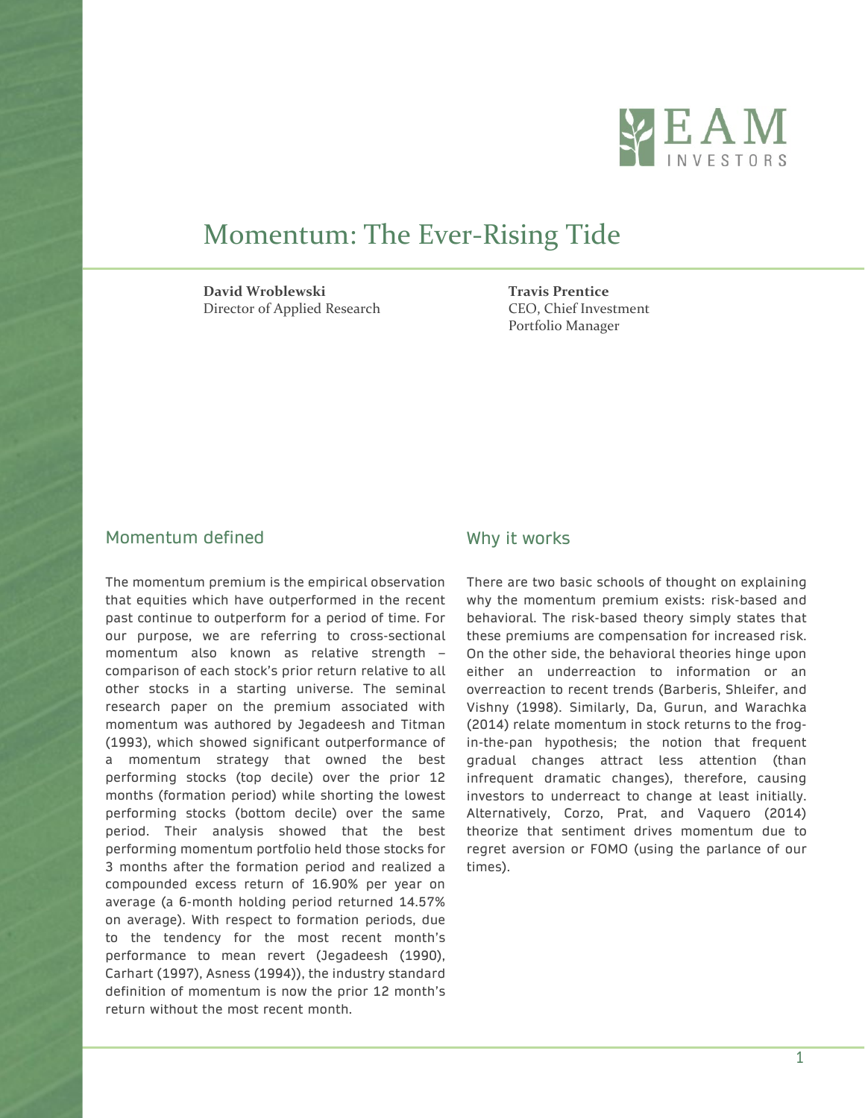

# Momentum: The Ever-Rising Tide

**David Wroblewski Travis Prentice** Director of Applied Research CEO, Chief Investment

Portfolio Manager

## Momentum defined

The momentum premium is the empirical observation that equities which have outperformed in the recent past continue to outperform for a period of time. For our purpose, we are referring to cross-sectional momentum also known as relative strength – comparison of each stock's prior return relative to all other stocks in a starting universe. The seminal research paper on the premium associated with momentum was authored by Jegadeesh and Titman (1993), which showed significant outperformance of a momentum strategy that owned the best performing stocks (top decile) over the prior 12 months (formation period) while shorting the lowest performing stocks (bottom decile) over the same period. Their analysis showed that the best performing momentum portfolio held those stocks for 3 months after the formation period and realized a compounded excess return of 16.90% per year on average (a 6-month holding period returned 14.57% on average). With respect to formation periods, due to the tendency for the most recent month's performance to mean revert (Jegadeesh (1990), Carhart (1997), Asness (1994)), the industry standard definition of momentum is now the prior 12 month's return without the most recent month.

### Why it works

There are two basic schools of thought on explaining why the momentum premium exists: risk-based and behavioral. The risk-based theory simply states that these premiums are compensation for increased risk. On the other side, the behavioral theories hinge upon either an underreaction to information or an overreaction to recent trends (Barberis, Shleifer, and Vishny (1998). Similarly, Da, Gurun, and Warachka (2014) relate momentum in stock returns to the frogin-the-pan hypothesis; the notion that frequent gradual changes attract less attention (than infrequent dramatic changes), therefore, causing investors to underreact to change at least initially. Alternatively, Corzo, Prat, and Vaquero (2014) theorize that sentiment drives momentum due to regret aversion or FOMO (using the parlance of our times).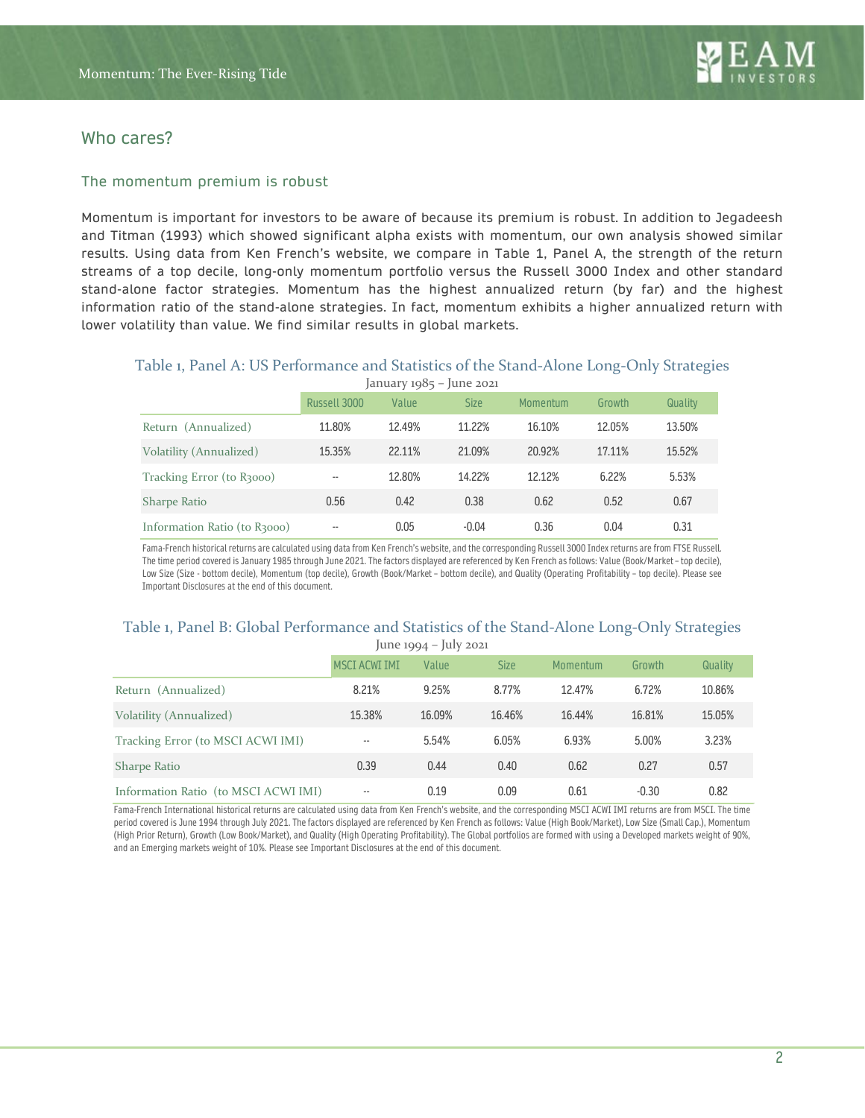## Who cares?

### The momentum premium is robust

Momentum is important for investors to be aware of because its premium is robust. In addition to Jegadeesh and Titman (1993) which showed significant alpha exists with momentum, our own analysis showed similar results. Using data from Ken French's website, we compare in Table 1, Panel A, the strength of the return streams of a top decile, long-only momentum portfolio versus the Russell 3000 Index and other standard stand-alone factor strategies. Momentum has the highest annualized return (by far) and the highest information ratio of the stand-alone strategies. In fact, momentum exhibits a higher annualized return with lower volatility than value. We find similar results in global markets.

### Table 1, Panel A: US Performance and Statistics of the Stand-Alone Long-Only Strategies  $J$ anuary 1985 – June 2021

|                              | $\mu$ and $\mu$ $\mu$ $\mu$ $\sigma$ $\mu$ $\sigma$ $\mu$ |        |             |          |        |         |
|------------------------------|-----------------------------------------------------------|--------|-------------|----------|--------|---------|
|                              | Russell 3000                                              | Value  | <b>Size</b> | Momentum | Growth | Quality |
| Return (Annualized)          | 11.80%                                                    | 12.49% | 11.22%      | 16.10%   | 12.05% | 13.50%  |
| Volatility (Annualized)      | 15.35%                                                    | 22.11% | 21.09%      | 20.92%   | 17.11% | 15.52%  |
| Tracking Error (to R3000)    | --                                                        | 12.80% | 14.22%      | 12.12%   | 6.22%  | 5.53%   |
| Sharpe Ratio                 | 0.56                                                      | 0.42   | 0.38        | 0.62     | 0.52   | 0.67    |
| Information Ratio (to R3000) | $\qquad \qquad -$                                         | 0.05   | $-0.04$     | 0.36     | 0.04   | 0.31    |

Fama-French historical returns are calculated using data from Ken French's website, and the corresponding Russell 3000 Index returns are from FTSE Russell. The time period covered is January 1985 through June 2021. The factors displayed are referenced by Ken French as follows: Value (Book/Market– top decile), Low Size (Size - bottom decile), Momentum (top decile), Growth (Book/Market – bottom decile), and Quality (Operating Profitability – top decile). Please see Important Disclosures at the end of this document.

### Table 1, Panel B: Global Performance and Statistics of the Stand-Alone Long-Only Strategies  $\frac{1}{2}$  June 1994 –  $\frac{1}{2}$  July 2021

|                                      | $1011C$ 1994 $1017$ 2021 |        |             |          |         |         |  |
|--------------------------------------|--------------------------|--------|-------------|----------|---------|---------|--|
|                                      | <b>MSCI ACWI IMI</b>     | Value  | <b>Size</b> | Momentum | Growth  | Quality |  |
| Return (Annualized)                  | 8.21%                    | 9.25%  | 8.77%       | 12.47%   | 6.72%   | 10.86%  |  |
| Volatility (Annualized)              | 15,38%                   | 16.09% | 16.46%      | 16.44%   | 16.81%  | 15.05%  |  |
| Tracking Error (to MSCI ACWI IMI)    | $\overline{\phantom{a}}$ | 5.54%  | 6.05%       | 6.93%    | 5.00%   | 3.23%   |  |
| <b>Sharpe Ratio</b>                  | 0.39                     | 0.44   | 0.40        | 0.62     | 0.27    | 0.57    |  |
| Information Ratio (to MSCI ACWI IMI) | $- -$                    | 0.19   | 0.09        | 0.61     | $-0.30$ | 0.82    |  |

Fama-French International historical returns are calculated using data from Ken French's website, and the corresponding MSCI ACWI IMI returns are from MSCI. The time period covered is June 1994 through July 2021. The factors displayed are referenced by Ken French as follows: Value (High Book/Market), Low Size (Small Cap.), Momentum (High Prior Return), Growth (Low Book/Market), and Quality (High Operating Profitability). The Global portfolios are formed with using a Developed markets weight of 90%, and an Emerging markets weight of 10%. Please see Important Disclosures at the end of this document.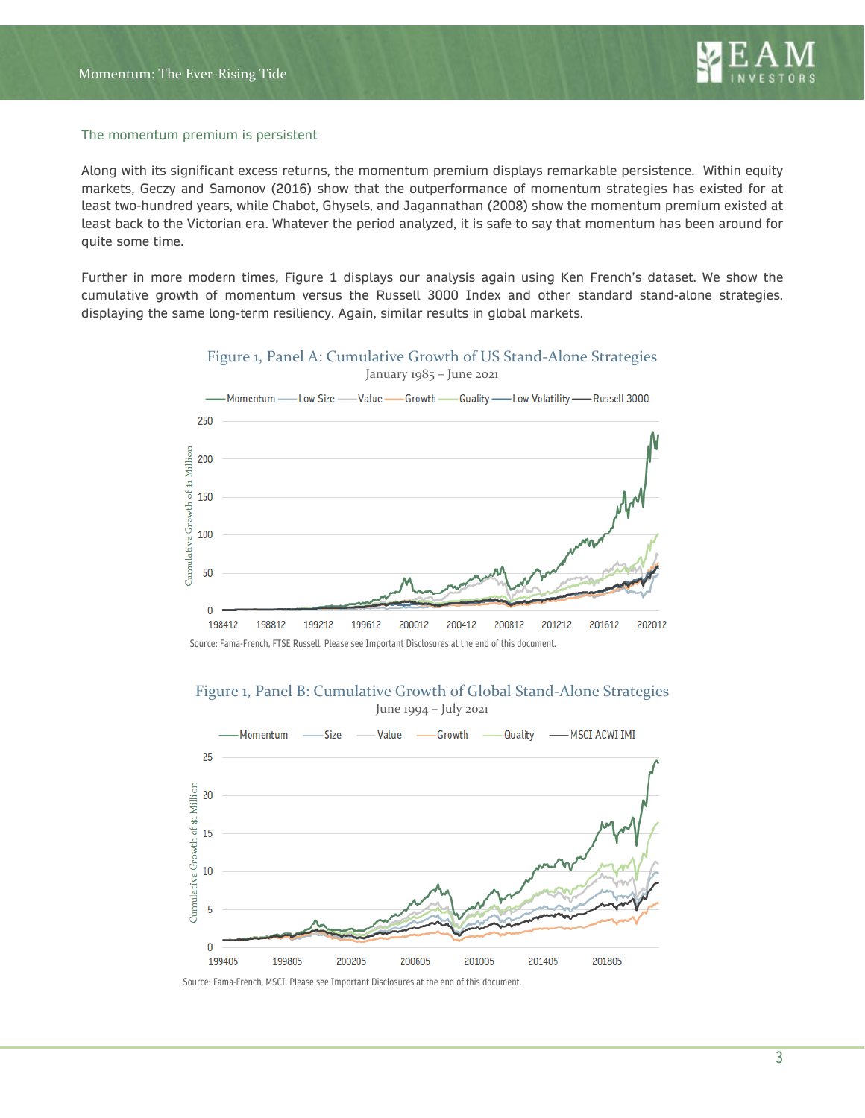### The momentum premium is persistent

Along with its significant excess returns, the momentum premium displays remarkable persistence. Within equity markets, Geczy and Samonov (2016) show that the outperformance of momentum strategies has existed for at least two-hundred years, while Chabot, Ghysels, and Jagannathan (2008) show the momentum premium existed at least back to the Victorian era. Whatever the period analyzed, it is safe to say that momentum has been around for quite some time.

Further in more modern times, Figure 1 displays our analysis again using Ken French's dataset. We show the cumulative growth of momentum versus the Russell 3000 Index and other standard stand-alone strategies, displaying the same long-term resiliency. Again, similar results in global markets.



Figure 1, Panel A: Cumulative Growth of US Stand-Alone Strategies

Figure 1, Panel B: Cumulative Growth of Global Stand-Alone Strategies



Source: Fama-French, MSCI. Please see Important Disclosures at the end of this document.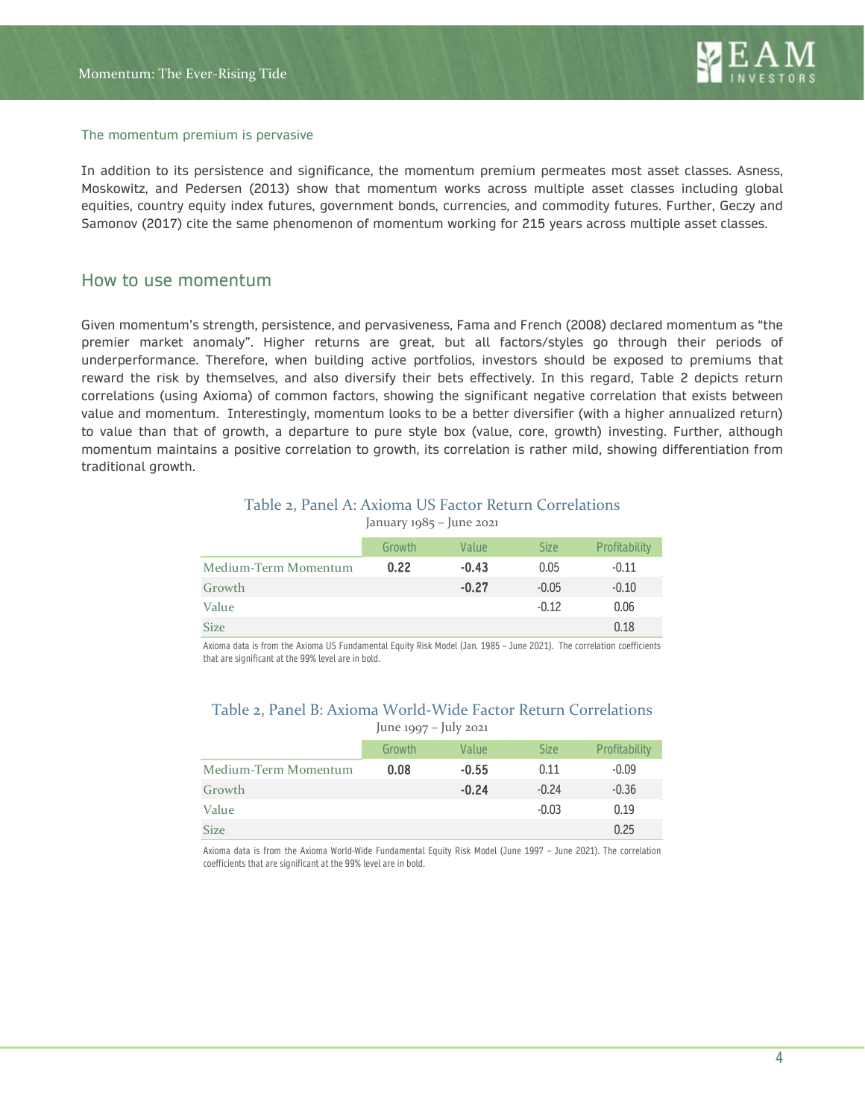### The momentum premium is pervasive

In addition to its persistence and significance, the momentum premium permeates most asset classes. Asness, Moskowitz, and Pedersen (2013) show that momentum works across multiple asset classes including global equities, country equity index futures, government bonds, currencies, and commodity futures. Further, Geczy and Samonov (2017) cite the same phenomenon of momentum working for 215 years across multiple asset classes.

### How to use momentum

Given momentum's strength, persistence, and pervasiveness, Fama and French (2008) declared momentum as "the premier market anomaly". Higher returns are great, but all factors/styles go through their periods of underperformance. Therefore, when building active portfolios, investors should be exposed to premiums that reward the risk by themselves, and also diversify their bets effectively. In this regard, Table 2 depicts return correlations (using Axioma) of common factors, showing the significant negative correlation that exists between value and momentum. Interestingly, momentum looks to be a better diversifier (with a higher annualized return) to value than that of growth, a departure to pure style box (value, core, growth) investing. Further, although momentum maintains a positive correlation to growth, its correlation is rather mild, showing differentiation from traditional growth.

### Table 2, Panel A: Axioma US Factor Return Correlations

|                      | Growth | Value   | <b>Size</b> | Profitability |
|----------------------|--------|---------|-------------|---------------|
| Medium-Term Momentum | 0.22   | $-0.43$ | 0.05        | $-0.11$       |
| Growth               |        | $-0.27$ | $-0.05$     | $-0.10$       |
| Value                |        |         | $-0.12$     | 0.06          |
| <b>Size</b>          |        |         |             | 0.18          |

January 1985 – June 2021

Axioma data is from the Axioma US Fundamental Equity Risk Model (Jan. 1985 – June 2021). The correlation coefficients that are significant at the 99% level are in bold.

### Table 2, Panel B: Axioma World-Wide Factor Return Correlations June 1997 – July 2021

| Growth | Value   | <b>Size</b> | Profitability |  |  |
|--------|---------|-------------|---------------|--|--|
| 0.08   | $-0.55$ | 0.11        | $-0.09$       |  |  |
|        | $-0.24$ | $-0.24$     | $-0.36$       |  |  |
|        |         | $-0.03$     | 0.19          |  |  |
|        |         |             | 0.25          |  |  |
|        |         |             | .             |  |  |

Axioma data is from the Axioma World-Wide Fundamental Equity Risk Model (June 1997 – June 2021). The correlation coefficients that are significant at the 99% level are in bold.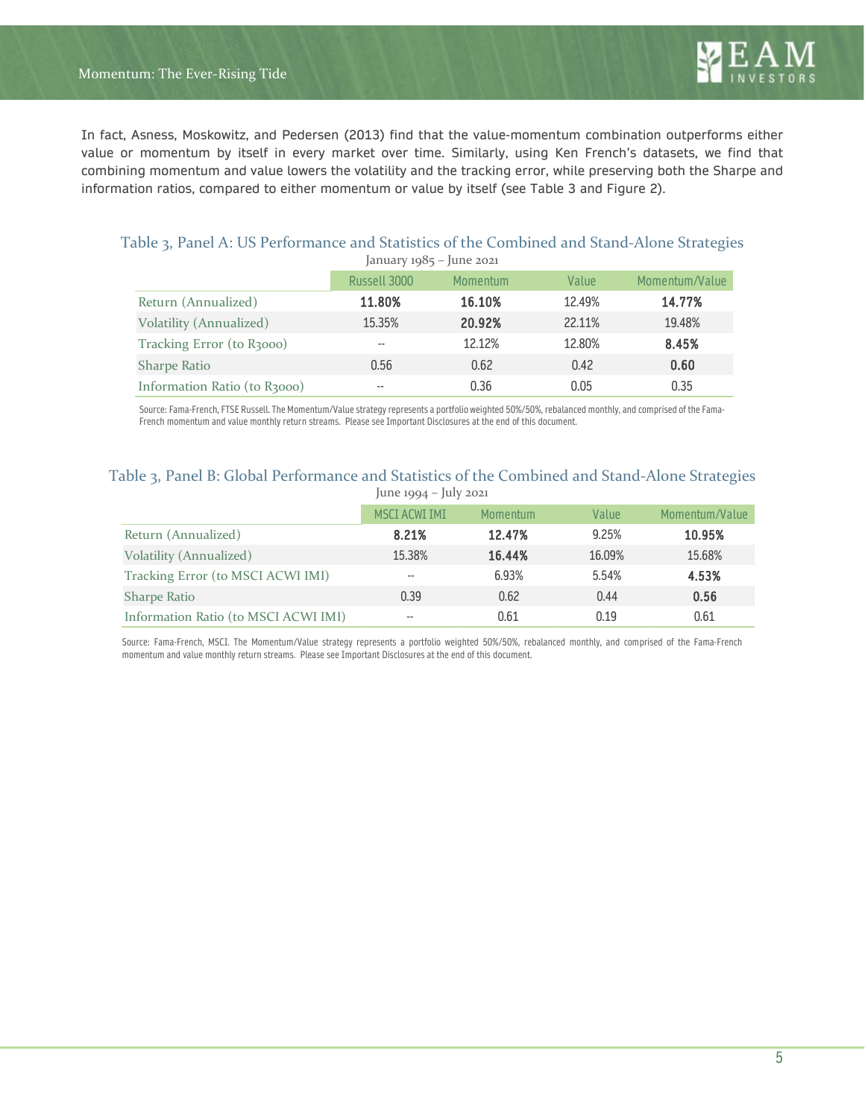In fact, Asness, Moskowitz, and Pedersen (2013) find that the value-momentum combination outperforms either value or momentum by itself in every market over time. Similarly, using Ken French's datasets, we find that combining momentum and value lowers the volatility and the tracking error, while preserving both the Sharpe and information ratios, compared to either momentum or value by itself (see Table 3 and Figure 2).

| January $1985 -$ June 2021   |              |          |        |                |  |
|------------------------------|--------------|----------|--------|----------------|--|
|                              | Russell 3000 | Momentum | Value  | Momentum/Value |  |
| Return (Annualized)          | 11.80%       | 16.10%   | 12.49% | 14.77%         |  |
| Volatility (Annualized)      | 15.35%       | 20.92%   | 22.11% | 19.48%         |  |
| Tracking Error (to R3000)    | --           | 12.12%   | 12.80% | 8.45%          |  |
| <b>Sharpe Ratio</b>          | 0.56         | 0.62     | 0.42   | 0.60           |  |
| Information Ratio (to R3000) | $- -$        | 0.36     | 0.05   | 0.35           |  |

## Table 3, Panel A: US Performance and Statistics of the Combined and Stand-Alone Strategies

Source: Fama-French, FTSE Russell. The Momentum/Value strategy represents a portfolio weighted 50%/50%, rebalanced monthly, and comprised of the Fama-French momentum and value monthly return streams. Please see Important Disclosures at the end of this document.

### Table 3, Panel B: Global Performance and Statistics of the Combined and Stand-Alone Strategies June 1994 – July 2021

|                                      | .                    |          |        |                |
|--------------------------------------|----------------------|----------|--------|----------------|
|                                      | <b>MSCI ACWI IMI</b> | Momentum | Value  | Momentum/Value |
| Return (Annualized)                  | 8.21%                | 12.47%   | 9.25%  | 10.95%         |
| Volatility (Annualized)              | 15,38%               | 16.44%   | 16.09% | 15.68%         |
| Tracking Error (to MSCI ACWI IMI)    | $- -$                | 6.93%    | 5.54%  | 4.53%          |
| <b>Sharpe Ratio</b>                  | 0.39                 | 0.62     | 0.44   | 0.56           |
| Information Ratio (to MSCI ACWI IMI) | $- -$                | 0.61     | 0.19   | 0.61           |

Source: Fama-French, MSCI. The Momentum/Value strategy represents a portfolio weighted 50%/50%, rebalanced monthly, and comprised of the Fama-French momentum and value monthly return streams. Please see Important Disclosures at the end of this document.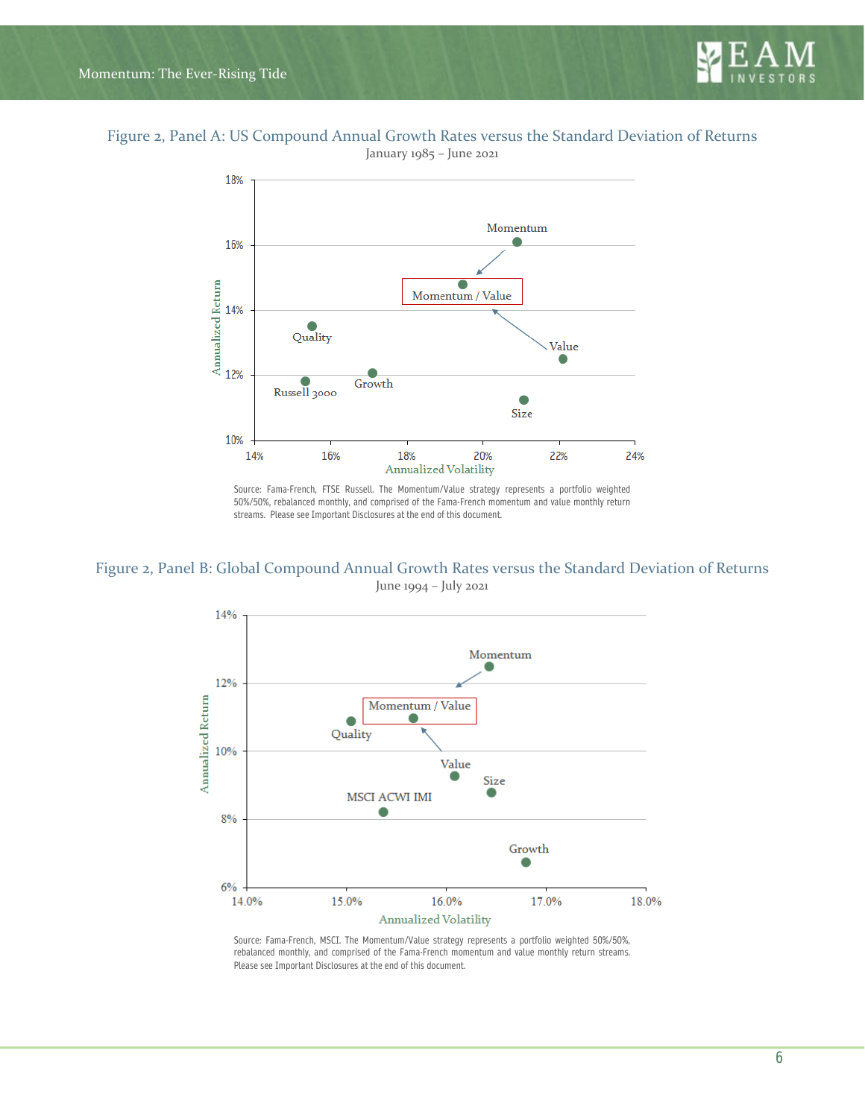

## Figure 2, Panel A: US Compound Annual Growth Rates versus the Standard Deviation of Returns

January 1985 – June 2021



Source: Fama-French, FTSE Russell. The Momentum/Value strategy represents a portfolio weighted 50%/50%, rebalanced monthly, and comprised of the Fama-French momentum and value monthly return streams. Please see Important Disclosures at the end of this document.

Figure 2, Panel B: Global Compound Annual Growth Rates versus the Standard Deviation of Returns June 1994 – July 2021



Source: Fama-French, MSCI. The Momentum/Value strategy represents a portfolio weighted 50%/50%, rebalanced monthly, and comprised of the Fama-French momentum and value monthly return streams. Please see Important Disclosures at the end of this document.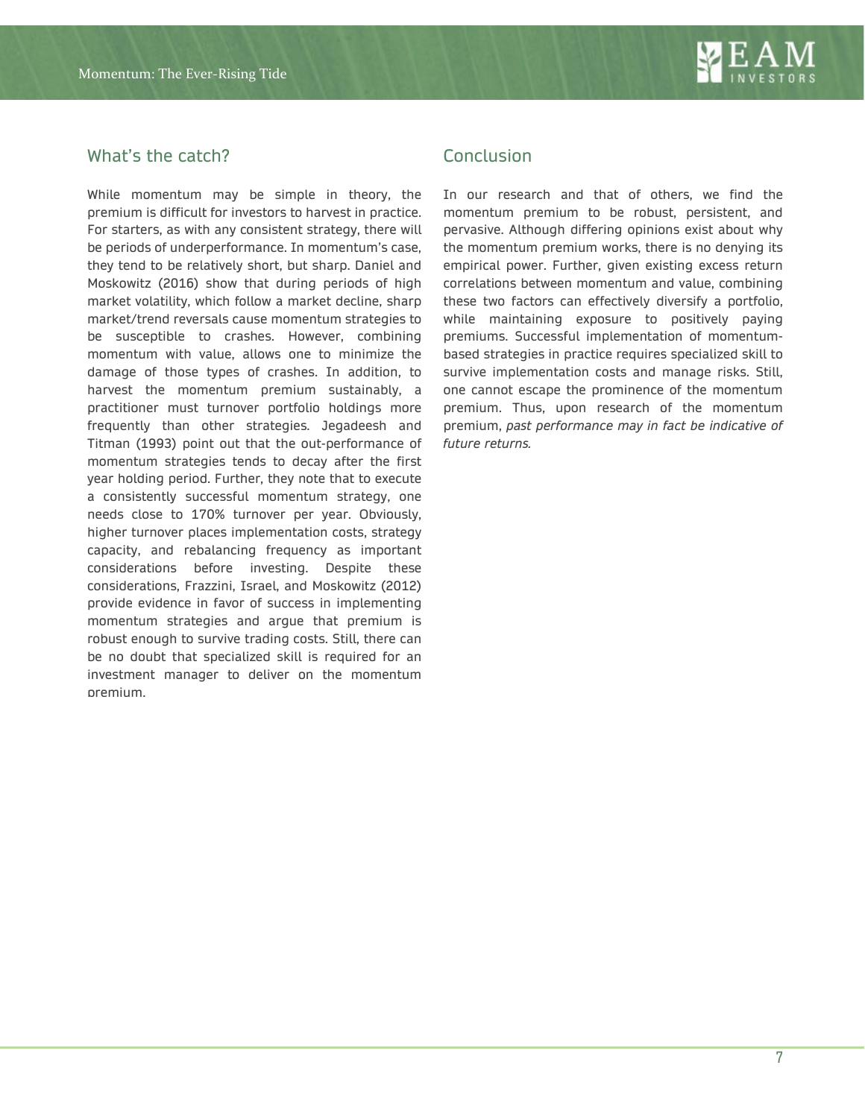## What's the catch?

While momentum may be simple in theory, the premium is difficult for investors to harvest in practice. For starters, as with any consistent strategy, there will be periods of underperformance. In momentum's case, they tend to be relatively short, but sharp. Daniel and Moskowitz (2016) show that during periods of high market volatility, which follow a market decline, sharp market/trend reversals cause momentum strategies to be susceptible to crashes. However, combining momentum with value, allows one to minimize the damage of those types of crashes. In addition, to harvest the momentum premium sustainably, a practitioner must turnover portfolio holdings more frequently than other strategies. Jegadeesh and Titman (1993) point out that the out-performance of momentum strategies tends to decay after the first year holding period. Further, they note that to execute a consistently successful momentum strategy, one needs close to 170% turnover per year. Obviously, higher turnover places implementation costs, strategy capacity, and rebalancing frequency as important considerations before investing. Despite these considerations, Frazzini, Israel, and Moskowitz (2012) provide evidence in favor of success in implementing momentum strategies and argue that premium is robust enough to survive trading costs. Still, there can be no doubt that specialized skill is required for an investment manager to deliver on the momentum premium.

## **Conclusion**

In our research and that of others, we find the momentum premium to be robust, persistent, and pervasive. Although differing opinions exist about why the momentum premium works, there is no denying its empirical power. Further, given existing excess return correlations between momentum and value, combining these two factors can effectively diversify a portfolio, while maintaining exposure to positively paying premiums. Successful implementation of momentumbased strategies in practice requires specialized skill to survive implementation costs and manage risks. Still, one cannot escape the prominence of the momentum premium. Thus, upon research of the momentum premium, *past performance may in fact be indicative of future returns.*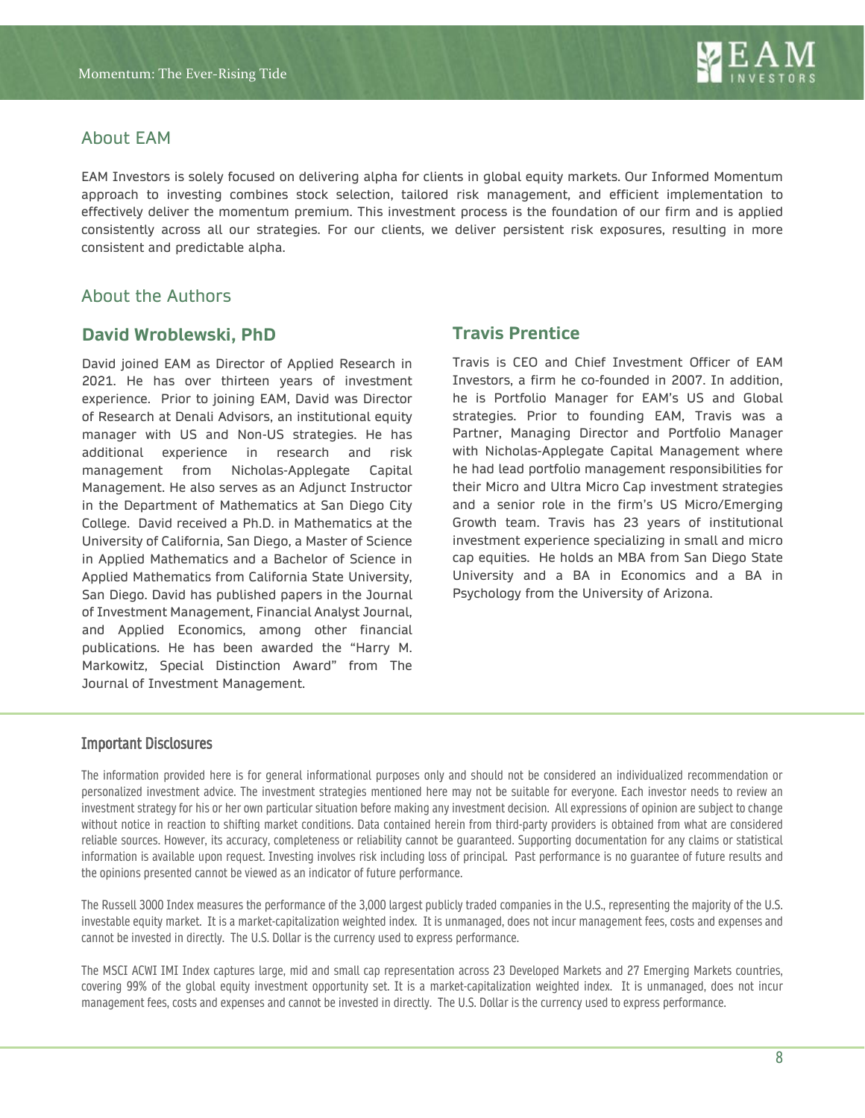## About EAM

EAM Investors is solely focused on delivering alpha for clients in global equity markets. Our Informed Momentum approach to investing combines stock selection, tailored risk management, and efficient implementation to effectively deliver the momentum premium. This investment process is the foundation of our firm and is applied consistently across all our strategies. For our clients, we deliver persistent risk exposures, resulting in more consistent and predictable alpha.

## About the Authors

## **David Wroblewski, PhD**

David joined EAM as Director of Applied Research in 2021. He has over thirteen years of investment experience. Prior to joining EAM, David was Director of Research at Denali Advisors, an institutional equity manager with US and Non-US strategies. He has additional experience in research and risk management from Nicholas-Applegate Capital Management. He also serves as an Adjunct Instructor in the Department of Mathematics at San Diego City College. David received a Ph.D. in Mathematics at the University of California, San Diego, a Master of Science in Applied Mathematics and a Bachelor of Science in Applied Mathematics from California State University, San Diego. David has published papers in the Journal of Investment Management, Financial Analyst Journal, and Applied Economics, among other financial publications. He has been awarded the "Harry M. Markowitz, Special Distinction Award" from The Journal of Investment Management.

## **Travis Prentice**

Travis is CEO and Chief Investment Officer of EAM Investors, a firm he co-founded in 2007. In addition, he is Portfolio Manager for EAM's US and Global strategies. Prior to founding EAM, Travis was a Partner, Managing Director and Portfolio Manager with Nicholas-Applegate Capital Management where he had lead portfolio management responsibilities for their Micro and Ultra Micro Cap investment strategies and a senior role in the firm's US Micro/Emerging Growth team. Travis has 23 years of institutional investment experience specializing in small and micro cap equities. He holds an MBA from San Diego State University and a BA in Economics and a BA in Psychology from the University of Arizona.

### Important Disclosures

The information provided here is for general informational purposes only and should not be considered an individualized recommendation or personalized investment advice. The investment strategies mentioned here may not be suitable for everyone. Each investor needs to review an investment strategy for his or her own particular situation before making any investment decision. All expressions of opinion are subject to change without notice in reaction to shifting market conditions. Data contained herein from third-party providers is obtained from what are considered reliable sources. However, its accuracy, completeness or reliability cannot be guaranteed. Supporting documentation for any claims or statistical information is available upon request. Investing involves risk including loss of principal. Past performance is no guarantee of future results and the opinions presented cannot be viewed as an indicator of future performance.

The Russell 3000 Index measures the performance of the 3,000 largest publicly traded companies in the U.S., representing the majority of the U.S. investable equity market. It is a market-capitalization weighted index. It is unmanaged, does not incur management fees, costs and expenses and cannot be invested in directly. The U.S. Dollar is the currency used to express performance.

The MSCI ACWI IMI Index captures large, mid and small cap representation across 23 Developed Markets and 27 Emerging Markets countries, covering 99% of the global equity investment opportunity set. It is a market-capitalization weighted index. It is unmanaged, does not incur management fees, costs and expenses and cannot be invested in directly. The U.S. Dollar is the currency used to express performance.